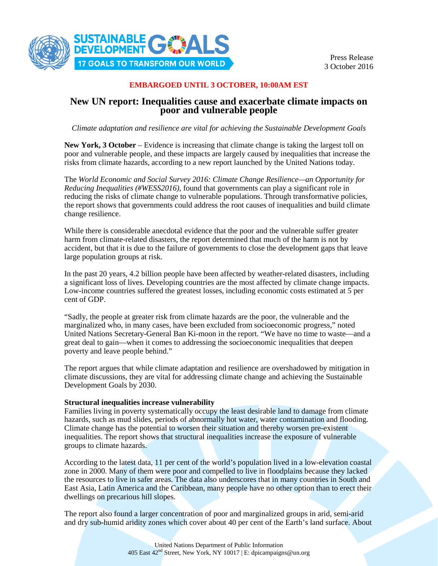

Press Release 3 October 2016

### **EMBARGOED UNTIL 3 OCTOBER, 10:00AM EST**

# **New UN report: Inequalities cause and exacerbate climate impacts on poor and vulnerable people**

*Climate adaptation and resilience are vital for achieving the Sustainable Development Goals*

**New York, 3 October** – Evidence is increasing that climate change is taking the largest toll on poor and vulnerable people, and these impacts are largely caused by inequalities that increase the risks from climate hazards, according to a new report launched by the United Nations today.

The *World Economic and Social Survey 2016: Climate Change Resilience—an Opportunity for Reducing Inequalities (#WESS2016)*, found that governments can play a significant role in reducing the risks of climate change to vulnerable populations. Through transformative policies, the report shows that governments could address the root causes of inequalities and build climate change resilience.

While there is considerable anecdotal evidence that the poor and the vulnerable suffer greater harm from climate-related disasters, the report determined that much of the harm is not by accident, but that it is due to the failure of governments to close the development gaps that leave large population groups at risk.

In the past 20 years, 4.2 billion people have been affected by weather-related disasters, including a significant loss of lives. Developing countries are the most affected by climate change impacts. Low-income countries suffered the greatest losses, including economic costs estimated at 5 per cent of GDP.

"Sadly, the people at greater risk from climate hazards are the poor, the vulnerable and the marginalized who, in many cases, have been excluded from socioeconomic progress," noted United Nations Secretary-General Ban Ki-moon in the report. "We have no time to waste—and a great deal to gain—when it comes to addressing the socioeconomic inequalities that deepen poverty and leave people behind."

The report argues that while climate adaptation and resilience are overshadowed by mitigation in climate discussions, they are vital for addressing climate change and achieving the Sustainable Development Goals by 2030.

## **Structural inequalities increase vulnerability**

Families living in poverty systematically occupy the least desirable land to damage from climate hazards, such as mud slides, periods of abnormally hot water, water contamination and flooding. Climate change has the potential to worsen their situation and thereby worsen pre-existent inequalities. The report shows that structural inequalities increase the exposure of vulnerable groups to climate hazards.

According to the latest data, 11 per cent of the world's population lived in a low-elevation coastal zone in 2000. Many of them were poor and compelled to live in floodplains because they lacked the resources to live in safer areas. The data also underscores that in many countries in South and East Asia, Latin America and the Caribbean, many people have no other option than to erect their dwellings on precarious hill slopes.

The report also found a larger concentration of poor and marginalized groups in arid, semi-arid and dry sub-humid aridity zones which cover about 40 per cent of the Earth's land surface. About